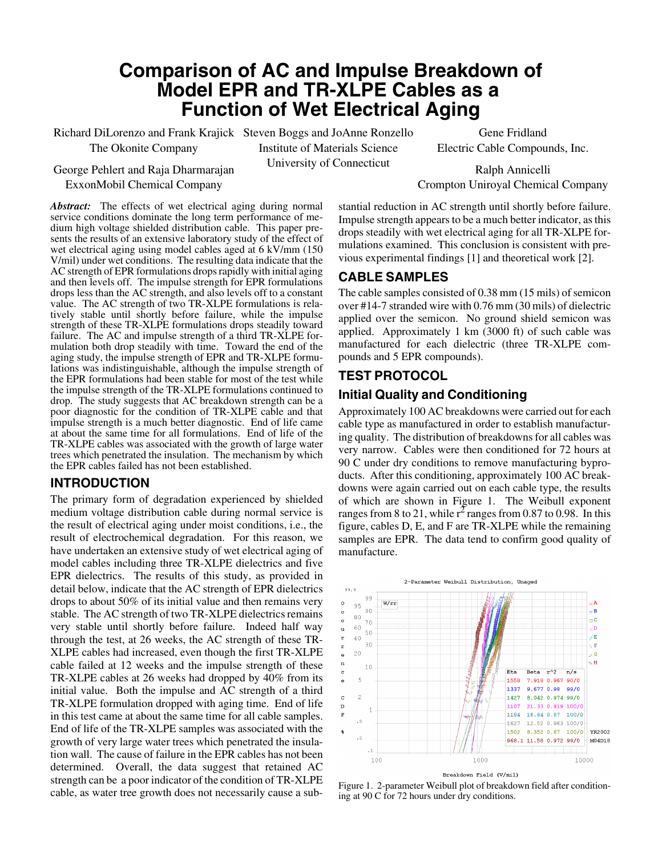# **Comparison of AC and Impulse Breakdown of Model EPR and TR-XLPE Cables as a Function of Wet Electrical Aging**

Richard DiLorenzo and Frank Krajick Steven Boggs and JoAnne Ronzello

The Okonite Company

Institute of Materials Science University of Connecticut

Gene Fridland Electric Cable Compounds, Inc. Ralph Annicelli

Crompton Uniroyal Chemical Company

George Pehlert and Raja Dharmarajan ExxonMobil Chemical Company

*Abstract:* The effects of wet electrical aging during normal service conditions dominate the long term performance of medium high voltage shielded distribution cable. This paper presents the results of an extensive laboratory study of the effect of wet electrical aging using model cables aged at 6 kV/mm (150 V/mil) under wet conditions. The resulting data indicate that the AC strength of EPR formulations drops rapidly with initial aging and then levels off. The impulse strength for EPR formulations drops less than the AC strength, and also levels off to a constant value. The AC strength of two TR-XLPE formulations is relatively stable until shortly before failure, while the impulse strength of these TR-XLPE formulations drops steadily toward failure. The AC and impulse strength of a third TR-XLPE formulation both drop steadily with time. Toward the end of the aging study, the impulse strength of EPR and TR-XLPE formulations was indistinguishable, although the impulse strength of the EPR formulations had been stable for most of the test while the impulse strength of the TR-XLPE formulations continued to drop. The study suggests that AC breakdown strength can be a poor diagnostic for the condition of TR-XLPE cable and that impulse strength is a much better diagnostic. End of life came at about the same time for all formulations. End of life of the TR-XLPE cables was associated with the growth of large water trees which penetrated the insulation. The mechanism by which the EPR cables failed has not been established.

### **INTRODUCTION**

The primary form of degradation experienced by shielded medium voltage distribution cable during normal service is the result of electrical aging under moist conditions, i.e., the result of electrochemical degradation. For this reason, we have undertaken an extensive study of wet electrical aging of model cables including three TR-XLPE dielectrics and five EPR dielectrics. The results of this study, as provided in detail below, indicate that the AC strength of EPR dielectrics drops to about 50% of its initial value and then remains very stable. The AC strength of two TR-XLPE dielectrics remains very stable until shortly before failure. Indeed half way through the test, at 26 weeks, the AC strength of these TR-XLPE cables had increased, even though the first TR-XLPE cable failed at 12 weeks and the impulse strength of these TR-XLPE cables at 26 weeks had dropped by 40% from its initial value. Both the impulse and AC strength of a third TR-XLPE formulation dropped with aging time. End of life in this test came at about the same time for all cable samples. End of life of the TR-XLPE samples was associated with the growth of very large water trees which penetrated the insulation wall. The cause of failure in the EPR cables has not been determined. Overall, the data suggest that retained AC strength can be a poor indicator of the condition of TR-XLPE cable, as water tree growth does not necessarily cause a substantial reduction in AC strength until shortly before failure. Impulse strength appears to be a much better indicator, as this drops steadily with wet electrical aging for all TR-XLPE formulations examined. This conclusion is consistent with previous experimental findings [1] and theoretical work [2].

## **CABLE SAMPLES**

The cable samples consisted of 0.38 mm (15 mils) of semicon over #14-7 stranded wire with 0.76 mm (30 mils) of dielectric applied over the semicon. No ground shield semicon was applied. Approximately 1 km (3000 ft) of such cable was manufactured for each dielectric (three TR-XLPE compounds and 5 EPR compounds).

## **TEST PROTOCOL**

## **Initial Quality and Conditioning**

Approximately 100 AC breakdowns were carried out for each cable type as manufactured in order to establish manufacturing quality. The distribution of breakdowns for all cables was very narrow. Cables were then conditioned for 72 hours at 90 C under dry conditions to remove manufacturing byproducts. After this conditioning, approximately 100 AC breakdowns were again carried out on each cable type, the results of which are shown in Figure 1. The Weibull exponent ranges from 8 to 21, while  $r^2$  ranges from 0.87 to 0.98. In this figure, cables D, E, and F are TR-XLPE while the remaining samples are EPR. The data tend to confirm good quality of manufacture.



Figure 1. 2-parameter Weibull plot of breakdown field after conditioning at 90 C for 72 hours under dry conditions.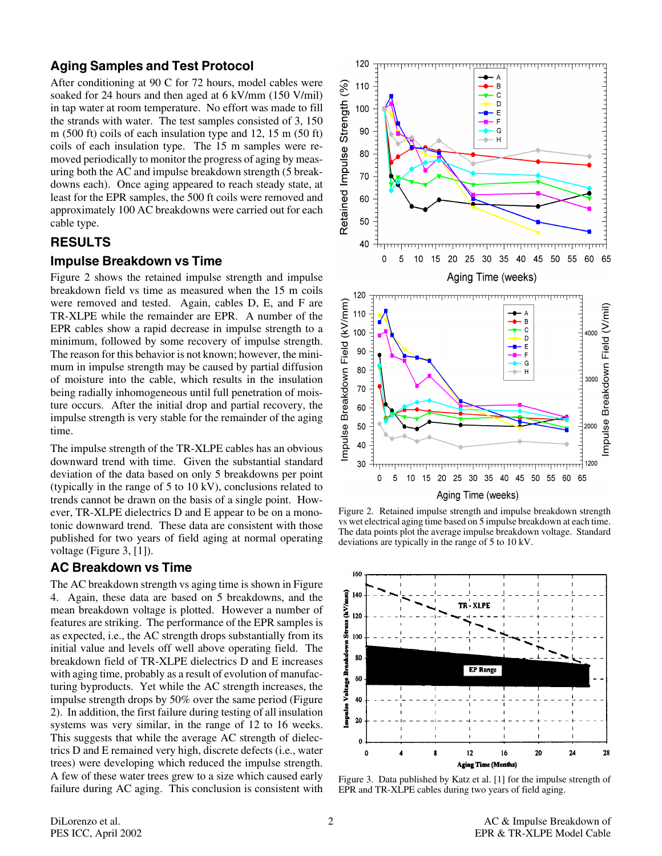## **Aging Samples and Test Protocol**

After conditioning at 90 C for 72 hours, model cables were soaked for 24 hours and then aged at 6 kV/mm (150 V/mil) in tap water at room temperature. No effort was made to fill the strands with water. The test samples consisted of 3, 150 m (500 ft) coils of each insulation type and 12, 15 m (50 ft) coils of each insulation type. The 15 m samples were removed periodically to monitor the progress of aging by measuring both the AC and impulse breakdown strength (5 breakdowns each). Once aging appeared to reach steady state, at least for the EPR samples, the 500 ft coils were removed and approximately 100 AC breakdowns were carried out for each cable type.

### **RESULTS**

### **Impulse Breakdown vs Time**

Figure 2 shows the retained impulse strength and impulse breakdown field vs time as measured when the 15 m coils were removed and tested. Again, cables D, E, and F are TR-XLPE while the remainder are EPR. A number of the EPR cables show a rapid decrease in impulse strength to a minimum, followed by some recovery of impulse strength. The reason for this behavior is not known; however, the minimum in impulse strength may be caused by partial diffusion of moisture into the cable, which results in the insulation being radially inhomogeneous until full penetration of moisture occurs. After the initial drop and partial recovery, the impulse strength is very stable for the remainder of the aging time.

The impulse strength of the TR-XLPE cables has an obvious downward trend with time. Given the substantial standard deviation of the data based on only 5 breakdowns per point (typically in the range of 5 to 10 kV), conclusions related to trends cannot be drawn on the basis of a single point. However, TR-XLPE dielectrics D and E appear to be on a monotonic downward trend. These data are consistent with those published for two years of field aging at normal operating voltage (Figure 3, [1]).

#### **AC Breakdown vs Time**

The AC breakdown strength vs aging time is shown in Figure 4. Again, these data are based on 5 breakdowns, and the mean breakdown voltage is plotted. However a number of features are striking. The performance of the EPR samples is as expected, i.e., the AC strength drops substantially from its initial value and levels off well above operating field. The breakdown field of TR-XLPE dielectrics D and E increases with aging time, probably as a result of evolution of manufacturing byproducts. Yet while the AC strength increases, the impulse strength drops by 50% over the same period (Figure 2). In addition, the first failure during testing of all insulation systems was very similar, in the range of 12 to 16 weeks. This suggests that while the average AC strength of dielectrics D and E remained very high, discrete defects (i.e., water trees) were developing which reduced the impulse strength. A few of these water trees grew to a size which caused early failure during AC aging. This conclusion is consistent with



Figure 2. Retained impulse strength and impulse breakdown strength vs wet electrical aging time based on 5 impulse breakdown at each time. The data points plot the average impulse breakdown voltage. Standard deviations are typically in the range of 5 to 10 kV.



Figure 3. Data published by Katz et al. [1] for the impulse strength of EPR and TR-XLPE cables during two years of field aging.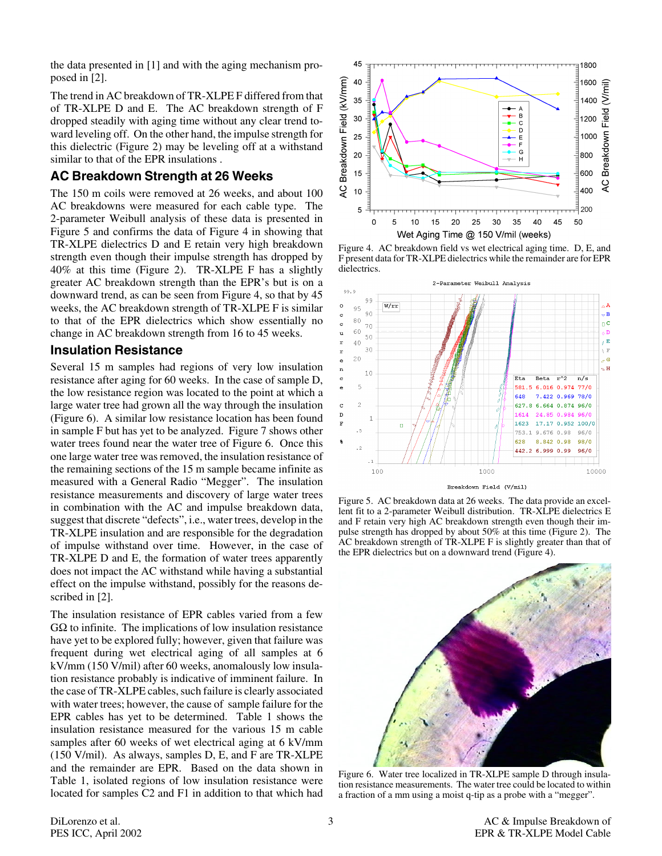the data presented in [1] and with the aging mechanism proposed in [2].

The trend in AC breakdown of TR-XLPE F differed from that of TR-XLPE D and E. The AC breakdown strength of F dropped steadily with aging time without any clear trend toward leveling off. On the other hand, the impulse strength for this dielectric (Figure 2) may be leveling off at a withstand similar to that of the EPR insulations .

#### **AC Breakdown Strength at 26 Weeks**

The 150 m coils were removed at 26 weeks, and about 100 AC breakdowns were measured for each cable type. The 2-parameter Weibull analysis of these data is presented in Figure 5 and confirms the data of Figure 4 in showing that TR-XLPE dielectrics D and E retain very high breakdown strength even though their impulse strength has dropped by 40% at this time (Figure 2). TR-XLPE F has a slightly greater AC breakdown strength than the EPR's but is on a downward trend, as can be seen from Figure 4, so that by 45 weeks, the AC breakdown strength of TR-XLPE F is similar to that of the EPR dielectrics which show essentially no change in AC breakdown strength from 16 to 45 weeks.

#### **Insulation Resistance**

Several 15 m samples had regions of very low insulation resistance after aging for 60 weeks. In the case of sample D, the low resistance region was located to the point at which a large water tree had grown all the way through the insulation (Figure 6). A similar low resistance location has been found in sample F but has yet to be analyzed. Figure 7 shows other water trees found near the water tree of Figure 6. Once this one large water tree was removed, the insulation resistance of the remaining sections of the 15 m sample became infinite as measured with a General Radio "Megger". The insulation resistance measurements and discovery of large water trees in combination with the AC and impulse breakdown data, suggest that discrete "defects", i.e., water trees, develop in the TR-XLPE insulation and are responsible for the degradation of impulse withstand over time. However, in the case of TR-XLPE D and E, the formation of water trees apparently does not impact the AC withstand while having a substantial effect on the impulse withstand, possibly for the reasons described in [2].

The insulation resistance of EPR cables varied from a few GΩ to infinite. The implications of low insulation resistance have yet to be explored fully; however, given that failure was frequent during wet electrical aging of all samples at 6 kV/mm (150 V/mil) after 60 weeks, anomalously low insulation resistance probably is indicative of imminent failure. In the case of TR-XLPE cables, such failure is clearly associated with water trees; however, the cause of sample failure for the EPR cables has yet to be determined. Table 1 shows the insulation resistance measured for the various 15 m cable samples after 60 weeks of wet electrical aging at 6 kV/mm (150 V/mil). As always, samples D, E, and F are TR-XLPE and the remainder are EPR. Based on the data shown in Table 1, isolated regions of low insulation resistance were located for samples C2 and F1 in addition to that which had



Figure 4. AC breakdown field vs wet electrical aging time. D, E, and F present data for TR-XLPE dielectrics while the remainder are for EPR dielectrics.



Figure 5. AC breakdown data at 26 weeks. The data provide an excellent fit to a 2-parameter Weibull distribution. TR-XLPE dielectrics E and F retain very high AC breakdown strength even though their impulse strength has dropped by about 50% at this time (Figure 2). The AC breakdown strength of TR-XLPE F is slightly greater than that of the EPR dielectrics but on a downward trend (Figure 4).



Figure 6. Water tree localized in TR-XLPE sample D through insulation resistance measurements. The water tree could be located to within a fraction of a mm using a moist q-tip as a probe with a "megger".